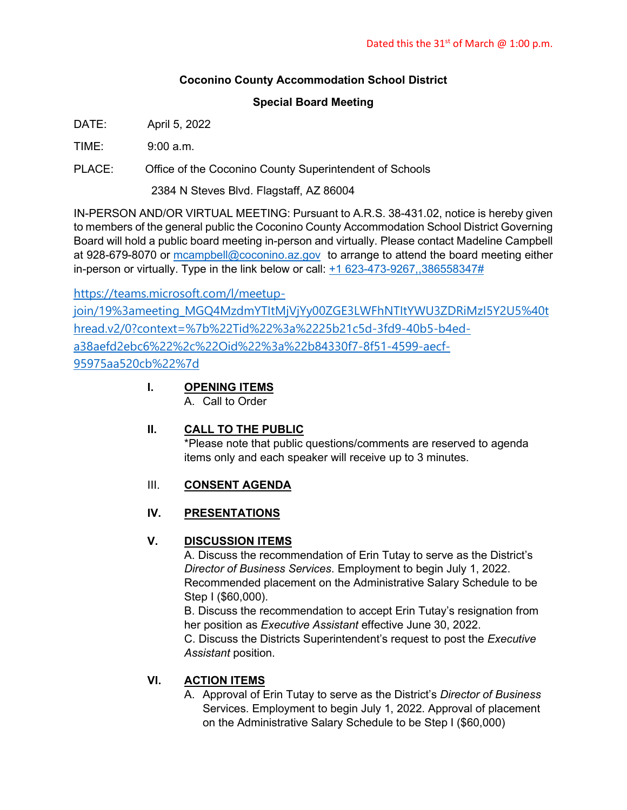### **Coconino County Accommodation School District**

#### **Special Board Meeting**

DATE: April 5, 2022

 $TIME: 9:00 a m$ 

PLACE: Office of the Coconino County Superintendent of Schools

2384 N Steves Blvd. Flagstaff, AZ 86004

IN-PERSON AND/OR VIRTUAL MEETING: Pursuant to A.R.S. 38-431.02, notice is hereby given to members of the general public the Coconino County Accommodation School District Governing Board will hold a public board meeting in-person and virtually. Please contact Madeline Campbell at 928-679-8070 or [mcampbell@coconino.az.gov](mailto:mcampbell@coconino.az.gov) to arrange to attend the board meeting either in-person or virtually. Type in the link below or call:  $+1623-473-9267,386558347#$ 

[https://teams.microsoft.com/l/meetup](https://teams.microsoft.com/l/meetup-join/19%3ameeting_MGQ4MzdmYTItMjVjYy00ZGE3LWFhNTItYWU3ZDRiMzI5Y2U5%40thread.v2/0?context=%7b%22Tid%22%3a%2225b21c5d-3fd9-40b5-b4ed-a38aefd2ebc6%22%2c%22Oid%22%3a%22b84330f7-8f51-4599-aecf-95975aa520cb%22%7d)[join/19%3ameeting\\_MGQ4MzdmYTItMjVjYy00ZGE3LWFhNTItYWU3ZDRiMzI5Y2U5%40t](https://teams.microsoft.com/l/meetup-join/19%3ameeting_MGQ4MzdmYTItMjVjYy00ZGE3LWFhNTItYWU3ZDRiMzI5Y2U5%40thread.v2/0?context=%7b%22Tid%22%3a%2225b21c5d-3fd9-40b5-b4ed-a38aefd2ebc6%22%2c%22Oid%22%3a%22b84330f7-8f51-4599-aecf-95975aa520cb%22%7d) [hread.v2/0?context=%7b%22Tid%22%3a%2225b21c5d-3fd9-40b5-b4ed](https://teams.microsoft.com/l/meetup-join/19%3ameeting_MGQ4MzdmYTItMjVjYy00ZGE3LWFhNTItYWU3ZDRiMzI5Y2U5%40thread.v2/0?context=%7b%22Tid%22%3a%2225b21c5d-3fd9-40b5-b4ed-a38aefd2ebc6%22%2c%22Oid%22%3a%22b84330f7-8f51-4599-aecf-95975aa520cb%22%7d)[a38aefd2ebc6%22%2c%22Oid%22%3a%22b84330f7-8f51-4599-aecf-](https://teams.microsoft.com/l/meetup-join/19%3ameeting_MGQ4MzdmYTItMjVjYy00ZGE3LWFhNTItYWU3ZDRiMzI5Y2U5%40thread.v2/0?context=%7b%22Tid%22%3a%2225b21c5d-3fd9-40b5-b4ed-a38aefd2ebc6%22%2c%22Oid%22%3a%22b84330f7-8f51-4599-aecf-95975aa520cb%22%7d)[95975aa520cb%22%7d](https://teams.microsoft.com/l/meetup-join/19%3ameeting_MGQ4MzdmYTItMjVjYy00ZGE3LWFhNTItYWU3ZDRiMzI5Y2U5%40thread.v2/0?context=%7b%22Tid%22%3a%2225b21c5d-3fd9-40b5-b4ed-a38aefd2ebc6%22%2c%22Oid%22%3a%22b84330f7-8f51-4599-aecf-95975aa520cb%22%7d)

> **I. OPENING ITEMS** A. Call to Order

### **II. CALL TO THE PUBLIC**

\*Please note that public questions/comments are reserved to agenda items only and each speaker will receive up to 3 minutes.

# III. **CONSENT AGENDA**

### **IV. PRESENTATIONS**

### **V. DISCUSSION ITEMS**

A. Discuss the recommendation of Erin Tutay to serve as the District's *Director of Business Services*. Employment to begin July 1, 2022. Recommended placement on the Administrative Salary Schedule to be Step I (\$60,000).

B. Discuss the recommendation to accept Erin Tutay's resignation from her position as *Executive Assistant* effective June 30, 2022.

C. Discuss the Districts Superintendent's request to post the *Executive Assistant* position.

# **VI. ACTION ITEMS**

A. Approval of Erin Tutay to serve as the District's *Director of Business* Services. Employment to begin July 1, 2022. Approval of placement on the Administrative Salary Schedule to be Step I (\$60,000)